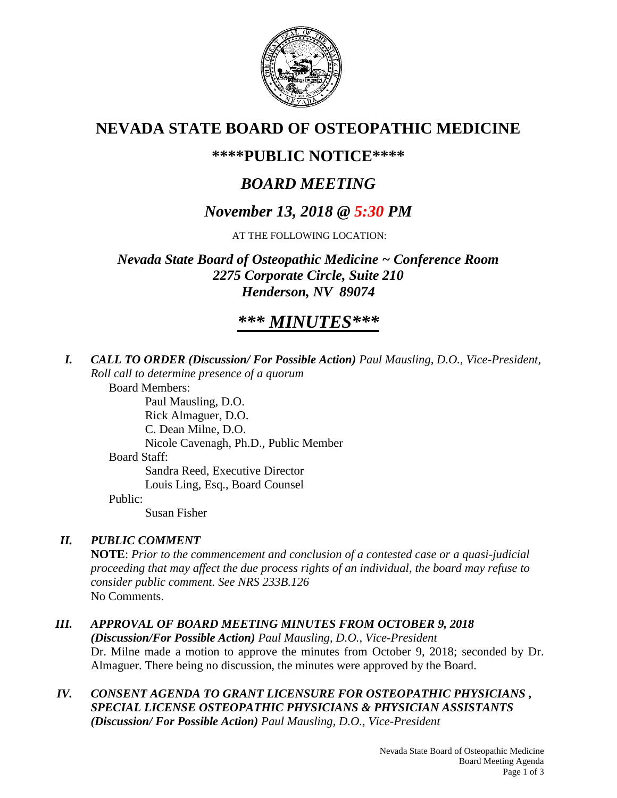

## **NEVADA STATE BOARD OF OSTEOPATHIC MEDICINE**

## **\*\*\*\*PUBLIC NOTICE\*\*\*\***

# *BOARD MEETING*

# *November 13, 2018 @ 5:30 PM*

AT THE FOLLOWING LOCATION:

*Nevada State Board of Osteopathic Medicine ~ Conference Room 2275 Corporate Circle, Suite 210 Henderson, NV 89074*

# *\*\*\* MINUTES\*\*\**

*I. CALL TO ORDER (Discussion/ For Possible Action) Paul Mausling, D.O., Vice-President, Roll call to determine presence of a quorum*

Board Members:

Paul Mausling, D.O. Rick Almaguer, D.O. C. Dean Milne, D.O. Nicole Cavenagh, Ph.D., Public Member Board Staff: Sandra Reed, Executive Director Louis Ling, Esq., Board Counsel Public:

Susan Fisher

## *II. PUBLIC COMMENT*

**NOTE**: *Prior to the commencement and conclusion of a contested case or a quasi-judicial proceeding that may affect the due process rights of an individual, the board may refuse to consider public comment. See NRS 233B.126* No Comments.

## *III. APPROVAL OF BOARD MEETING MINUTES FROM OCTOBER 9, 2018*

*(Discussion/For Possible Action) Paul Mausling, D.O., Vice-President* Dr. Milne made a motion to approve the minutes from October 9, 2018; seconded by Dr. Almaguer. There being no discussion, the minutes were approved by the Board.

### *IV. CONSENT AGENDA TO GRANT LICENSURE FOR OSTEOPATHIC PHYSICIANS , SPECIAL LICENSE OSTEOPATHIC PHYSICIANS & PHYSICIAN ASSISTANTS (Discussion/ For Possible Action) Paul Mausling, D.O., Vice-President*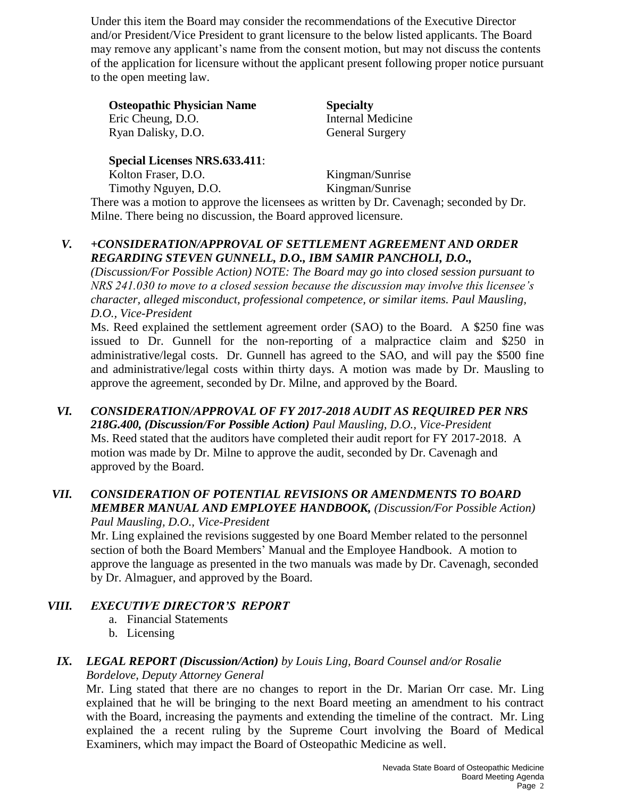Under this item the Board may consider the recommendations of the Executive Director and/or President/Vice President to grant licensure to the below listed applicants. The Board may remove any applicant's name from the consent motion, but may not discuss the contents of the application for licensure without the applicant present following proper notice pursuant to the open meeting law.

**Osteopathic Physician Name Specialty** Eric Cheung, D.O. Internal Medicine Ryan Dalisky, D.O. General Surgery

**Special Licenses NRS.633.411**:

Kolton Fraser, D.O. Kingman/Sunrise Timothy Nguyen, D.O. Kingman/Sunrise There was a motion to approve the licensees as written by Dr. Cavenagh; seconded by Dr. Milne. There being no discussion, the Board approved licensure.

### *V. +CONSIDERATION/APPROVAL OF SETTLEMENT AGREEMENT AND ORDER REGARDING STEVEN GUNNELL, D.O., IBM SAMIR PANCHOLI, D.O.,*

*(Discussion/For Possible Action) NOTE: The Board may go into closed session pursuant to NRS 241.030 to move to a closed session because the discussion may involve this licensee's character, alleged misconduct, professional competence, or similar items. Paul Mausling, D.O., Vice-President*

Ms. Reed explained the settlement agreement order (SAO) to the Board. A \$250 fine was issued to Dr. Gunnell for the non-reporting of a malpractice claim and \$250 in administrative/legal costs. Dr. Gunnell has agreed to the SAO, and will pay the \$500 fine and administrative/legal costs within thirty days. A motion was made by Dr. Mausling to approve the agreement, seconded by Dr. Milne, and approved by the Board.

*VI. CONSIDERATION/APPROVAL OF FY 2017-2018 AUDIT AS REQUIRED PER NRS 218G.400, (Discussion/For Possible Action) Paul Mausling, D.O., Vice-President* Ms. Reed stated that the auditors have completed their audit report for FY 2017-2018. A motion was made by Dr. Milne to approve the audit, seconded by Dr. Cavenagh and approved by the Board.

#### *VII. CONSIDERATION OF POTENTIAL REVISIONS OR AMENDMENTS TO BOARD MEMBER MANUAL AND EMPLOYEE HANDBOOK, (Discussion/For Possible Action) Paul Mausling, D.O., Vice-President*

Mr. Ling explained the revisions suggested by one Board Member related to the personnel section of both the Board Members' Manual and the Employee Handbook. A motion to approve the language as presented in the two manuals was made by Dr. Cavenagh, seconded by Dr. Almaguer, and approved by the Board.

## *VIII. EXECUTIVE DIRECTOR'S REPORT*

- a. Financial Statements
- b. Licensing

#### *IX. LEGAL REPORT (Discussion/Action) by Louis Ling, Board Counsel and/or Rosalie Bordelove, Deputy Attorney General*

Mr. Ling stated that there are no changes to report in the Dr. Marian Orr case. Mr. Ling explained that he will be bringing to the next Board meeting an amendment to his contract with the Board, increasing the payments and extending the timeline of the contract. Mr. Ling explained the a recent ruling by the Supreme Court involving the Board of Medical Examiners, which may impact the Board of Osteopathic Medicine as well.